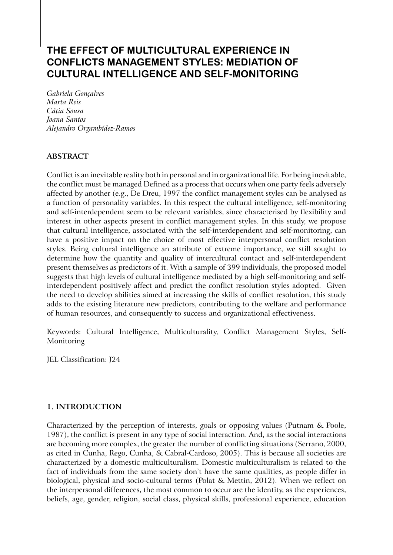# **THE EFFECT OF MULTICULTURAL EXPERIENCE IN CONFLICTS MANAGEMENT STYLES: MEDIATION OF CULTURAL INTELLIGENCE AND SELF-MONITORING**

*Gabriela Gonçalves Marta Reis Cátia Sousa Joana Santos Alejandro Orgambídez-Ramos*

# **ABSTRACT**

Conflict is an inevitable reality both in personal and in organizational life. For being inevitable, the conflict must be managed Defined as a process that occurs when one party feels adversely affected by another (e.g., De Dreu, 1997 the conflict management styles can be analysed as a function of personality variables. In this respect the cultural intelligence, self-monitoring and self-interdependent seem to be relevant variables, since characterised by flexibility and interest in other aspects present in conflict management styles. In this study, we propose that cultural intelligence, associated with the self-interdependent and self-monitoring, can have a positive impact on the choice of most effective interpersonal conflict resolution styles. Being cultural intelligence an attribute of extreme importance, we still sought to determine how the quantity and quality of intercultural contact and self-interdependent present themselves as predictors of it. With a sample of 399 individuals, the proposed model suggests that high levels of cultural intelligence mediated by a high self-monitoring and selfinterdependent positively affect and predict the conflict resolution styles adopted. Given the need to develop abilities aimed at increasing the skills of conflict resolution, this study adds to the existing literature new predictors, contributing to the welfare and performance of human resources, and consequently to success and organizational effectiveness.

Keywords: Cultural Intelligence, Multiculturality, Conflict Management Styles, Self-Monitoring

JEL Classification: J24

## **1. INTRODUCTION**

Characterized by the perception of interests, goals or opposing values (Putnam & Poole, 1987), the conflict is present in any type of social interaction. And, as the social interactions are becoming more complex, the greater the number of conflicting situations (Serrano, 2000, as cited in Cunha, Rego, Cunha, & Cabral-Cardoso, 2005). This is because all societies are characterized by a domestic multiculturalism. Domestic multiculturalism is related to the fact of individuals from the same society don't have the same qualities, as people differ in biological, physical and socio-cultural terms (Polat & Mettin, 2012). When we reflect on the interpersonal differences, the most common to occur are the identity, as the experiences, beliefs, age, gender, religion, social class, physical skills, professional experience, education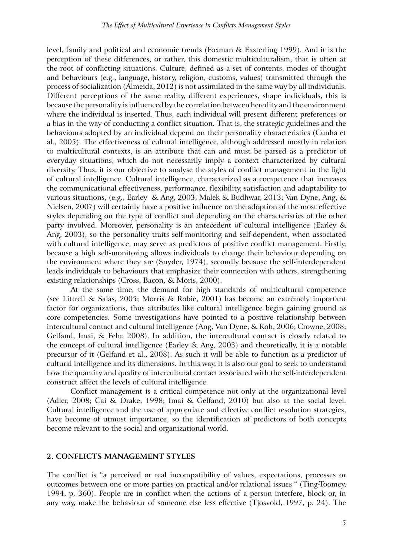level, family and political and economic trends (Foxman & Easterling 1999). And it is the perception of these differences, or rather, this domestic multiculturalism, that is often at the root of conflicting situations. Culture, defined as a set of contents, modes of thought and behaviours (e.g., language, history, religion, customs, values) transmitted through the process of socialization (Almeida, 2012) is not assimilated in the same way by all individuals. Different perceptions of the same reality, different experiences, shape individuals, this is because the personality is influenced by the correlation between heredity and the environment where the individual is inserted. Thus, each individual will present different preferences or a bias in the way of conducting a conflict situation. That is, the strategic guidelines and the behaviours adopted by an individual depend on their personality characteristics (Cunha et al., 2005). The effectiveness of cultural intelligence, although addressed mostly in relation to multicultural contexts, is an attribute that can and must be parsed as a predictor of everyday situations, which do not necessarily imply a context characterized by cultural diversity. Thus, it is our objective to analyse the styles of conflict management in the light of cultural intelligence. Cultural intelligence, characterized as a competence that increases the communicational effectiveness, performance, flexibility, satisfaction and adaptability to various situations, (e.g., Earley & Ang, 2003; Malek & Budhwar, 2013; Van Dyne, Ang, & Nielsen, 2007) will certainly have a positive influence on the adoption of the most effective styles depending on the type of conflict and depending on the characteristics of the other party involved. Moreover, personality is an antecedent of cultural intelligence (Earley & Ang, 2003), so the personality traits self-monitoring and self-dependent, when associated with cultural intelligence, may serve as predictors of positive conflict management. Firstly, because a high self-monitoring allows individuals to change their behaviour depending on the environment where they are (Snyder, 1974), secondly because the self-interdependent leads individuals to behaviours that emphasize their connection with others, strengthening existing relationships (Cross, Bacon, & Moris, 2000).

At the same time, the demand for high standards of multicultural competence (see Littrell & Salas, 2005; Morris & Robie, 2001) has become an extremely important factor for organizations, thus attributes like cultural intelligence begin gaining ground as core competencies. Some investigations have pointed to a positive relationship between intercultural contact and cultural intelligence (Ang, Van Dyne, & Koh, 2006; Crowne, 2008; Gelfand, Imai, & Fehr, 2008). In addition, the intercultural contact is closely related to the concept of cultural intelligence (Earley & Ang, 2003) and theoretically, it is a notable precursor of it (Gelfand et al., 2008). As such it will be able to function as a predictor of cultural intelligence and its dimensions. In this way, it is also our goal to seek to understand how the quantity and quality of intercultural contact associated with the self-interdependent construct affect the levels of cultural intelligence.

Conflict management is a critical competence not only at the organizational level (Adler, 2008; Cai & Drake, 1998; Imai & Gelfand, 2010) but also at the social level. Cultural intelligence and the use of appropriate and effective conflict resolution strategies, have become of utmost importance, so the identification of predictors of both concepts become relevant to the social and organizational world.

#### **2. CONFLICTS MANAGEMENT STYLES**

The conflict is "a perceived or real incompatibility of values, expectations, processes or outcomes between one or more parties on practical and/or relational issues " (Ting-Toomey, 1994, p. 360). People are in conflict when the actions of a person interfere, block or, in any way, make the behaviour of someone else less effective (Tjosvold, 1997, p. 24). The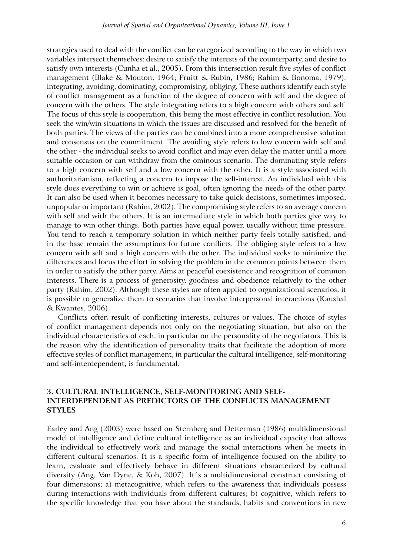strategies used to deal with the conflict can be categorized according to the way in which two variables intersect themselves: desire to satisfy the interests of the counterparty, and desire to satisfy own interests (Cunha et al., 2005). From this intersection result five styles of conflict management (Blake & Mouton, 1964; Pruitt & Rubin, 1986; Rahim & Bonoma, 1979): integrating, avoiding, dominating, compromising, obliging. These authors identify each style of conflict management as a function of the degree of concern with self and the degree of concern with the others. The style integrating refers to a high concern with others and self. The focus of this style is cooperation, this being the most effective in conflict resolution. You seek the win/win situations in which the issues are discussed and resolved for the benefit of both parties. The views of the parties can be combined into a more comprehensive solution and consensus on the commitment. The avoiding style refers to low concern with self and the other - the individual seeks to avoid conflict and may even delay the matter until a more suitable occasion or can withdraw from the ominous scenario. The dominating style refers to a high concern with self and a low concern with the other. It is a style associated with authoritarianism, reflecting a concern to impose the self-interest. An individual with this style does everything to win or achieve is goal, often ignoring the needs of the other party. It can also be used when it becomes necessary to take quick decisions, sometimes imposed, unpopular or important (Rahim, 2002). The compromising style refers to an average concern with self and with the others. It is an intermediate style in which both parties give way to manage to win other things. Both parties have equal power, usually without time pressure. You tend to reach a temporary solution in which neither party feels totally satisfied, and in the base remain the assumptions for future conflicts. The obliging style refers to a low concern with self and a high concern with the other. The individual seeks to minimize the differences and focus the effort in solving the problem in the common points between them in order to satisfy the other party. Aims at peaceful coexistence and recognition of common interests. There is a process of generosity, goodness and obedience relatively to the other party (Rahim, 2002). Although these styles are often applied to organizational scenarios, it is possible to generalize them to scenarios that involve interpersonal interactions (Kaushal & Kwantes, 2006).

Conflicts often result of conflicting interests, cultures or values. The choice of styles of conflict management depends not only on the negotiating situation, but also on the individual characteristics of each, in particular on the personality of the negotiators. This is the reason why the identification of personality traits that facilitate the adoption of more effective styles of conflict management, in particular the cultural intelligence, self-monitoring and self-interdependent, is fundamental.

## **3. CULTURAL INTELLIGENCE, SELF-MONITORING AND SELF-INTERDEPENDENT AS PREDICTORS OF THE CONFLICTS MANAGEMENT STYLES**

Earley and Ang (2003) were based on Sternberg and Detterman (1986) multidimensional model of intelligence and define cultural intelligence as an individual capacity that allows the individual to effectively work and manage the social interactions when he meets in different cultural scenarios. It is a specific form of intelligence focused on the ability to learn, evaluate and effectively behave in different situations characterized by cultural diversity (Ang, Van Dyne, & Koh, 2007). It´s a multidimensional construct consisting of four dimensions: a) metacognitive, which refers to the awareness that individuals possess during interactions with individuals from different cultures; b) cognitive, which refers to the specific knowledge that you have about the standards, habits and conventions in new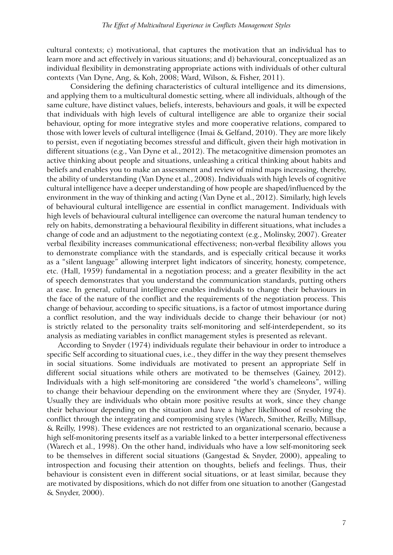cultural contexts; c) motivational, that captures the motivation that an individual has to learn more and act effectively in various situations; and d) behavioural, conceptualized as an individual flexibility in demonstrating appropriate actions with individuals of other cultural contexts (Van Dyne, Ang, & Koh, 2008; Ward, Wilson, & Fisher, 2011).

Considering the defining characteristics of cultural intelligence and its dimensions, and applying them to a multicultural domestic setting, where all individuals, although of the same culture, have distinct values, beliefs, interests, behaviours and goals, it will be expected that individuals with high levels of cultural intelligence are able to organize their social behaviour, opting for more integrative styles and more cooperative relations, compared to those with lower levels of cultural intelligence (Imai & Gelfand, 2010). They are more likely to persist, even if negotiating becomes stressful and difficult, given their high motivation in different situations (e.g., Van Dyne et al., 2012). The metacognitive dimension promotes an active thinking about people and situations, unleashing a critical thinking about habits and beliefs and enables you to make an assessment and review of mind maps increasing, thereby, the ability of understanding (Van Dyne et al., 2008). Individuals with high levels of cognitive cultural intelligence have a deeper understanding of how people are shaped/influenced by the environment in the way of thinking and acting (Van Dyne et al., 2012). Similarly, high levels of behavioural cultural intelligence are essential in conflict management. Individuals with high levels of behavioural cultural intelligence can overcome the natural human tendency to rely on habits, demonstrating a behavioural flexibility in different situations, what includes a change of code and an adjustment to the negotiating context (e.g., Molinsky, 2007). Greater verbal flexibility increases communicational effectiveness; non-verbal flexibility allows you to demonstrate compliance with the standards, and is especially critical because it works as a "silent language" allowing interpret light indicators of sincerity, honesty, competence, etc. (Hall, 1959) fundamental in a negotiation process; and a greater flexibility in the act of speech demonstrates that you understand the communication standards, putting others at ease. In general, cultural intelligence enables individuals to change their behaviours in the face of the nature of the conflict and the requirements of the negotiation process. This change of behaviour, according to specific situations, is a factor of utmost importance during a conflict resolution, and the way individuals decide to change their behaviour (or not) is strictly related to the personality traits self-monitoring and self-interdependent, so its analysis as mediating variables in conflict management styles is presented as relevant.

According to Snyder (1974) individuals regulate their behaviour in order to introduce a specific Self according to situational cues, i.e., they differ in the way they present themselves in social situations. Some individuals are motivated to present an appropriate Self in different social situations while others are motivated to be themselves (Gainey, 2012). Individuals with a high self-monitoring are considered "the world's chameleons", willing to change their behaviour depending on the environment where they are (Snyder, 1974). Usually they are individuals who obtain more positive results at work, since they change their behaviour depending on the situation and have a higher likelihood of resolving the conflict through the integrating and compromising styles (Warech, Smither, Reilly, Millsap, & Reilly, 1998). These evidences are not restricted to an organizational scenario, because a high self-monitoring presents itself as a variable linked to a better interpersonal effectiveness (Warech et al., 1998). On the other hand, individuals who have a low self-monitoring seek to be themselves in different social situations (Gangestad & Snyder, 2000), appealing to introspection and focusing their attention on thoughts, beliefs and feelings. Thus, their behaviour is consistent even in different social situations, or at least similar, because they are motivated by dispositions, which do not differ from one situation to another (Gangestad & Snyder, 2000).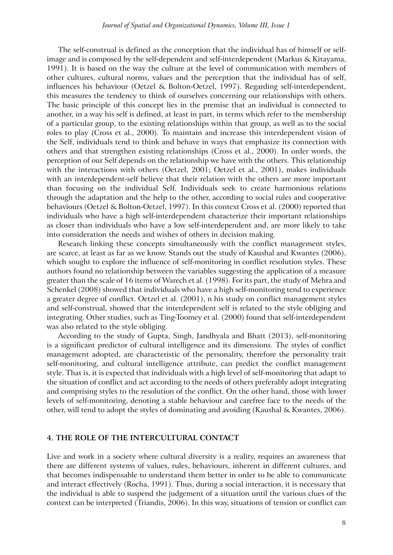The self-construal is defined as the conception that the individual has of himself or selfimage and is composed by the self-dependent and self-interdependent (Markus & Kitayama, 1991). It is based on the way the culture at the level of communication with members of other cultures, cultural norms, values and the perception that the individual has of self, influences his behaviour (Oetzel & Bolton-Oetzel, 1997). Regarding self-interdependent, this measures the tendency to think of ourselves concerning our relationships with others. The basic principle of this concept lies in the premise that an individual is connected to another, in a way his self is defined, at least in part, in terms which refer to the membership of a particular group, to the existing relationships within that group, as well as to the social roles to play (Cross et al., 2000). To maintain and increase this interdependent vision of the Self, individuals tend to think and behave in ways that emphasize its connection with others and that strengthen existing relationships (Cross et al., 2000). In order words, the perception of our Self depends on the relationship we have with the others. This relationship with the interactions with others (Oetzel, 2001; Oetzel et al., 2001), makes individuals with an interdependent-self believe that their relation with the others are more important than focusing on the individual Self. Individuals seek to create harmonious relations through the adaptation and the help to the other, according to social rules and cooperative behaviours (Oetzel & Bolton-Oetzel, 1997). In this context Cross et al. (2000) reported that individuals who have a high self-interdependent characterize their important relationships as closer than individuals who have a low self-interdependent and, are more likely to take into consideration the needs and wishes of others in decision making.

Research linking these concepts simultaneously with the conflict management styles, are scarce, at least as far as we know. Stands out the study of Kaushal and Kwantes (2006), which sought to explore the influence of self-monitoring in conflict resolution styles. These authors found no relationship between the variables suggesting the application of a measure greater than the scale of 16 items of Warech et al. (1998). For its part, the study of Mehra and Schenkel (2008) showed that individuals who have a high self-monitoring tend to experience a greater degree of conflict. Oetzel et al. (2001), n his study on conflict management styles and self-construal, showed that the interdependent self is related to the style obliging and integrating. Other studies, such as Ting-Toomey et al. (2000) found that self-interdependent was also related to the style obliging.

According to the study of Gupta, Singh, Jandhyala and Bhatt (2013), self-monitoring is a significant predictor of cultural intelligence and its dimensions. The styles of conflict management adopted, are characteristic of the personality, therefore the personality trait self-monitoring, and cultural intelligence attribute, can predict the conflict management style. That is, it is expected that individuals with a high level of self-monitoring that adapt to the situation of conflict and act according to the needs of others preferably adopt integrating and comprising styles to the resolution of the conflict. On the other hand, those with lower levels of self-monitoring, denoting a stable behaviour and carefree face to the needs of the other, will tend to adopt the styles of dominating and avoiding (Kaushal & Kwantes, 2006).

#### **4. THE ROLE OF THE INTERCULTURAL CONTACT**

Live and work in a society where cultural diversity is a reality, requires an awareness that there are different systems of values, rules, behaviours, inherent in different cultures, and that becomes indispensable to understand them better in order to be able to communicate and interact effectively (Rocha, 1991). Thus, during a social interaction, it is necessary that the individual is able to suspend the judgement of a situation until the various clues of the context can be interpreted (Triandis, 2006). In this way, situations of tension or conflict can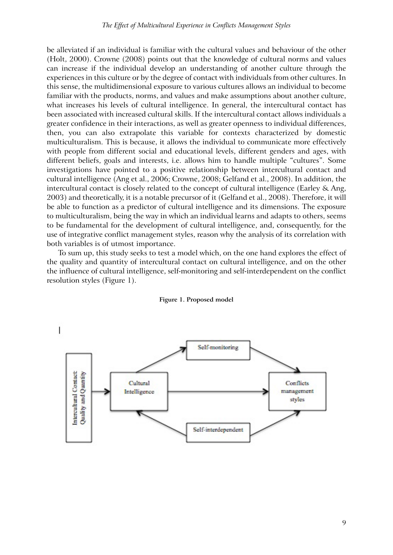be alleviated if an individual is familiar with the cultural values and behaviour of the other (Holt, 2000). Crowne (2008) points out that the knowledge of cultural norms and values can increase if the individual develop an understanding of another culture through the experiences in this culture or by the degree of contact with individuals from other cultures. In this sense, the multidimensional exposure to various cultures allows an individual to become familiar with the products, norms, and values and make assumptions about another culture, what increases his levels of cultural intelligence. In general, the intercultural contact has been associated with increased cultural skills. If the intercultural contact allows individuals a greater confidence in their interactions, as well as greater openness to individual differences, then, you can also extrapolate this variable for contexts characterized by domestic multiculturalism. This is because, it allows the individual to communicate more effectively with people from different social and educational levels, different genders and ages, with different beliefs, goals and interests, i.e. allows him to handle multiple "cultures". Some investigations have pointed to a positive relationship between intercultural contact and cultural intelligence (Ang et al., 2006; Crowne, 2008; Gelfand et al., 2008). In addition, the intercultural contact is closely related to the concept of cultural intelligence (Earley & Ang, 2003) and theoretically, it is a notable precursor of it (Gelfand et al., 2008). Therefore, it will be able to function as a predictor of cultural intelligence and its dimensions. The exposure to multiculturalism, being the way in which an individual learns and adapts to others, seems to be fundamental for the development of cultural intelligence, and, consequently, for the use of integrative conflict management styles, reason why the analysis of its correlation with both variables is of utmost importance.

To sum up, this study seeks to test a model which, on the one hand explores the effect of the quality and quantity of intercultural contact on cultural intelligence, and on the other the influence of cultural intelligence, self-monitoring and self-interdependent on the conflict resolution styles (Figure 1).



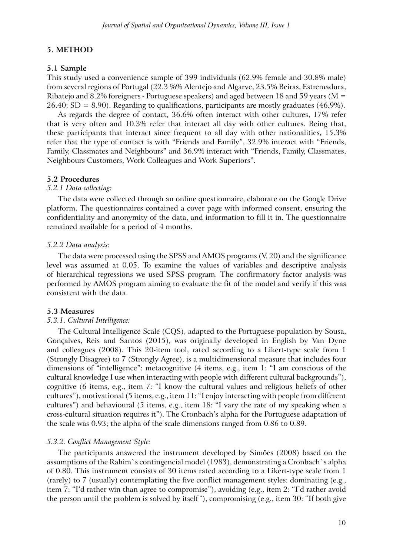## **5. METHOD**

## **5.1 Sample**

This study used a convenience sample of 399 individuals (62.9% female and 30.8% male) from several regions of Portugal (22.3 %% Alentejo and Algarve, 23.5% Beiras, Estremadura, Ribatejo and 8.2% foreigners - Portuguese speakers) and aged between 18 and 59 years ( $M =$ 26.40; SD = 8.90). Regarding to qualifications, participants are mostly graduates (46.9%).

As regards the degree of contact, 36.6% often interact with other cultures, 17% refer that is very often and 10.3% refer that interact all day with other cultures. Being that, these participants that interact since frequent to all day with other nationalities, 15.3% refer that the type of contact is with "Friends and Family", 32.9% interact with "Friends, Family, Classmates and Neighbours" and 36.9% interact with "Friends, Family, Classmates, Neighbours Customers, Work Colleagues and Work Superiors".

#### **5.2 Procedures**

#### *5.2.1 Data collecting:*

The data were collected through an online questionnaire, elaborate on the Google Drive platform. The questionnaires contained a cover page with informed consent, ensuring the confidentiality and anonymity of the data, and information to fill it in. The questionnaire remained available for a period of 4 months.

#### *5.2.2 Data analysis:*

The data were processed using the SPSS and AMOS programs (V. 20) and the significance level was assumed at 0.05. To examine the values of variables and descriptive analysis of hierarchical regressions we used SPSS program. The confirmatory factor analysis was performed by AMOS program aiming to evaluate the fit of the model and verify if this was consistent with the data.

#### **5.3 Measures**

## *5.3.1. Cultural Intelligence:*

The Cultural Intelligence Scale (CQS), adapted to the Portuguese population by Sousa, Gonçalves, Reis and Santos (2015), was originally developed in English by Van Dyne and colleagues (2008). This 20-item tool, rated according to a Likert-type scale from 1 (Strongly Disagree) to 7 (Strongly Agree), is a multidimensional measure that includes four dimensions of "intelligence": metacognitive (4 items, e.g., item 1: "I am conscious of the cultural knowledge I use when interacting with people with different cultural backgrounds"), cognitive (6 items, e.g., item 7: "I know the cultural values and religious beliefs of other cultures"), motivational (5 items, e.g., item 11: "I enjoy interacting with people from different cultures") and behavioural (5 items, e.g., item 18: "I vary the rate of my speaking when a cross-cultural situation requires it"). The Cronbach's alpha for the Portuguese adaptation of the scale was 0.93; the alpha of the scale dimensions ranged from 0.86 to 0.89.

## *5.3.2. Conflict Management Style:*

The participants answered the instrument developed by Simões (2008) based on the assumptions of the Rahim`s contingencial model (1983), demonstrating a Cronbach`s alpha of 0.80. This instrument consists of 30 items rated according to a Likert-type scale from 1 (rarely) to 7 (usually) contemplating the five conflict management styles: dominating (e.g., item 7: "I'd rather win than agree to compromise"), avoiding (e.g., item 2: "I'd rather avoid the person until the problem is solved by itself"), compromising (e.g., item 30: "If both give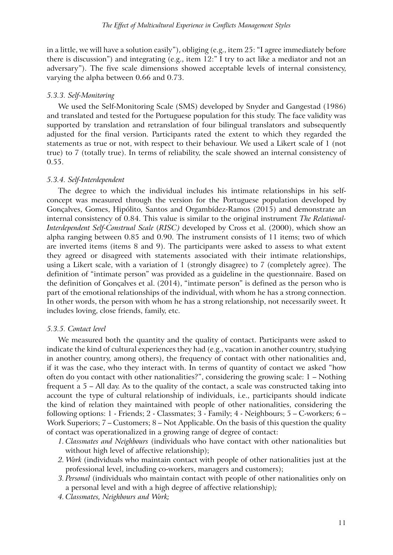in a little, we will have a solution easily"), obliging (e.g., item 25: "I agree immediately before there is discussion") and integrating (e.g., item 12:" I try to act like a mediator and not an adversary"). The five scale dimensions showed acceptable levels of internal consistency, varying the alpha between 0.66 and 0.73.

#### *5.3.3. Self-Monitoring*

We used the Self-Monitoring Scale (SMS) developed by Snyder and Gangestad (1986) and translated and tested for the Portuguese population for this study. The face validity was supported by translation and retranslation of four bilingual translators and subsequently adjusted for the final version. Participants rated the extent to which they regarded the statements as true or not, with respect to their behaviour. We used a Likert scale of 1 (not true) to 7 (totally true). In terms of reliability, the scale showed an internal consistency of 0.55.

#### *5.3.4. Self-Interdependent*

The degree to which the individual includes his intimate relationships in his selfconcept was measured through the version for the Portuguese population developed by Gonçalves, Gomes, Hipólito, Santos and Orgambídez-Ramos (2015) and demonstrate an internal consistency of 0.84. This value is similar to the original instrument *The Relational-Interdependent Self-Construal Scale* (*RISC)* developed by Cross et al. (2000), which show an alpha ranging between 0.85 and 0.90. The instrument consists of 11 items; two of which are inverted items (items 8 and 9). The participants were asked to assess to what extent they agreed or disagreed with statements associated with their intimate relationships, using a Likert scale, with a variation of 1 (strongly disagree) to 7 (completely agree). The definition of "intimate person" was provided as a guideline in the questionnaire. Based on the definition of Gonçalves et al. (2014), "intimate person" is defined as the person who is part of the emotional relationships of the individual, with whom he has a strong connection. In other words, the person with whom he has a strong relationship, not necessarily sweet. It includes loving, close friends, family, etc.

#### *5.3.5. Contact level*

We measured both the quantity and the quality of contact. Participants were asked to indicate the kind of cultural experiences they had (e.g., vacation in another country, studying in another country, among others), the frequency of contact with other nationalities and, if it was the case, who they interact with. In terms of quantity of contact we asked "how often do you contact with other nationalities?", considering the growing scale: 1 – Nothing frequent a 5 – All day. As to the quality of the contact, a scale was constructed taking into account the type of cultural relationship of individuals, i.e., participants should indicate the kind of relation they maintained with people of other nationalities, considering the following options: 1 - Friends; 2 - Classmates; 3 - Family; 4 - Neighbours; 5 – C-workers; 6 – Work Superiors; 7 – Customers; 8 – Not Applicable. On the basis of this question the quality of contact was operationalized in a growing range of degree of contact:

- *1. Classmates and Neighbours* (individuals who have contact with other nationalities but without high level of affective relationship);
- *2.Work* (individuals who maintain contact with people of other nationalities just at the professional level, including co-workers, managers and customers);
- *3.Personal* (individuals who maintain contact with people of other nationalities only on a personal level and with a high degree of affective relationship)*;*
- *4. Classmates, Neighbours and Work;*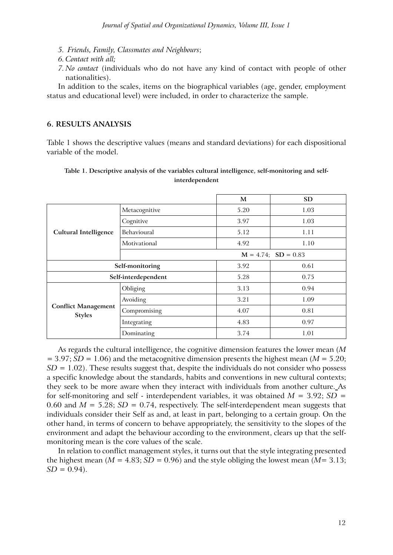- *5. Friends, Family, Classmates and Neighbours*;
- *6. Contact with all;*
- *7. No contact* (individuals who do not have any kind of contact with people of other nationalities).

In addition to the scales, items on the biographical variables (age, gender, employment status and educational level) were included, in order to characterize the sample.

## **6. RESULTS ANALYSIS**

Table 1 shows the descriptive values (means and standard deviations) for each dispositional variable of the model.

## **Table 1. Descriptive analysis of the variables cultural intelligence, self-monitoring and selfinterdependent**

|                                             |                          | M    | <b>SD</b> |  |  |
|---------------------------------------------|--------------------------|------|-----------|--|--|
|                                             | Metacognitive            | 5.20 | 1.03      |  |  |
|                                             | Cognitive                | 3.97 | 1.03      |  |  |
| <b>Cultural Intelligence</b>                | <b>Behavioural</b>       | 5.12 | 1.11      |  |  |
|                                             | Motivational             | 4.92 | 1.10      |  |  |
|                                             | $M = 4.74$ ; $SD = 0.83$ |      |           |  |  |
| Self-monitoring                             |                          | 3.92 | 0.61      |  |  |
| Self-interdependent                         |                          | 5.28 | 0.75      |  |  |
| <b>Conflict Management</b><br><b>Styles</b> | Obliging                 | 3.13 | 0.94      |  |  |
|                                             | Avoiding                 | 3.21 | 1.09      |  |  |
|                                             | Compromising             | 4.07 | 0.81      |  |  |
|                                             | Integrating              | 4.83 | 0.97      |  |  |
|                                             | Dominating               | 3.74 | 1.01      |  |  |

As regards the cultural intelligence, the cognitive dimension features the lower mean (*M*  $= 3.97; SD = 1.06$ ) and the metacognitive dimension presents the highest mean (*M* = 5.20;  $SD = 1.02$ ). These results suggest that, despite the individuals do not consider who possess a specific knowledge about the standards, habits and conventions in new cultural contexts; they seek to be more aware when they interact with individuals from another culture. As for self-monitoring and self - interdependent variables, it was obtained  $M = 3.92$ ;  $SD =$ 0.60 and  $M = 5.28$ ;  $SD = 0.74$ , respectively. The self-interdependent mean suggests that individuals consider their Self as and, at least in part, belonging to a certain group. On the other hand, in terms of concern to behave appropriately, the sensitivity to the slopes of the environment and adapt the behaviour according to the environment, clears up that the selfmonitoring mean is the core values of the scale.

In relation to conflict management styles, it turns out that the style integrating presented the highest mean ( $M = 4.83$ ;  $SD = 0.96$ ) and the style obliging the lowest mean ( $M = 3.13$ ;  $SD = 0.94$ .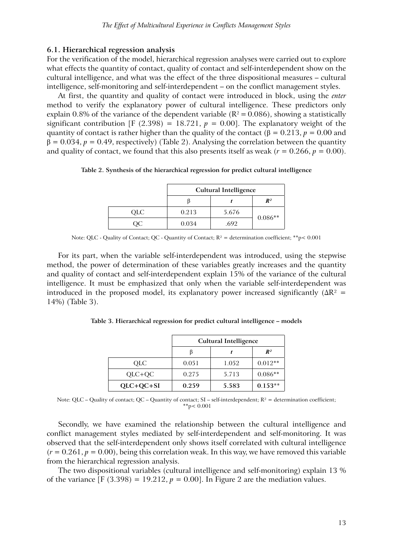## **6.1. Hierarchical regression analysis**

For the verification of the model, hierarchical regression analyses were carried out to explore what effects the quantity of contact, quality of contact and self-interdependent show on the cultural intelligence, and what was the effect of the three dispositional measures – cultural intelligence, self-monitoring and self-interdependent – on the conflict management styles.

At first, the quantity and quality of contact were introduced in block, using the *enter* method to verify the explanatory power of cultural intelligence. These predictors only explain 0.8% of the variance of the dependent variable ( $R^2 = 0.086$ ), showing a statistically significant contribution  $[F (2.398) = 18.721, p = 0.00]$ . The explanatory weight of the quantity of contact is rather higher than the quality of the contact ( $\beta = 0.213$ ,  $p = 0.00$  and  $\beta = 0.034$ ,  $p = 0.49$ , respectively) (Table 2). Analysing the correlation between the quantity and quality of contact, we found that this also presents itself as weak ( $r = 0.266$ ,  $p = 0.00$ ).

**Table 2. Synthesis of the hierarchical regression for predict cultural intelligence**

|            | <b>Cultural Intelligence</b> |       |           |  |  |
|------------|------------------------------|-------|-----------|--|--|
|            | $R^2$                        |       |           |  |  |
| <b>OLC</b> | 0.213                        | 5.676 |           |  |  |
|            | 0.034                        | .692  | $0.086**$ |  |  |

Note: QLC - Quality of Contact; QC - Quantity of Contact;  $R^2$  = determination coefficient; \*\*p< 0.001

For its part, when the variable self-interdependent was introduced, using the stepwise method, the power of determination of these variables greatly increases and the quantity and quality of contact and self-interdependent explain 15% of the variance of the cultural intelligence. It must be emphasized that only when the variable self-interdependent was introduced in the proposed model, its explanatory power increased significantly ( $\Delta R^2$  = 14%) (Table 3).

|             | <b>Cultural Intelligence</b> |       |           |  |
|-------------|------------------------------|-------|-----------|--|
|             |                              |       | $R^2$     |  |
| QLC.        | 0.051                        | 1.052 | $0.012**$ |  |
| $QLC+QC$    | 0.275                        | 5.713 | $0.086**$ |  |
| $OLC+OC+SI$ | 0.259                        | 5.583 | $0.153**$ |  |

**Table 3. Hierarchical regression for predict cultural intelligence – models**

Note: QLC – Quality of contact; QC – Quantity of contact; SI – self-interdependent;  $R^2$  = determination coefficient; \*\*p< 0.001

Secondly, we have examined the relationship between the cultural intelligence and conflict management styles mediated by self-interdependent and self-monitoring. It was observed that the self-interdependent only shows itself correlated with cultural intelligence  $(r = 0.261, p = 0.00)$ , being this correlation weak. In this way, we have removed this variable from the hierarchical regression analysis.

The two dispositional variables (cultural intelligence and self-monitoring) explain 13 % of the variance  $[F (3.398) = 19.212, p = 0.00]$ . In Figure 2 are the mediation values.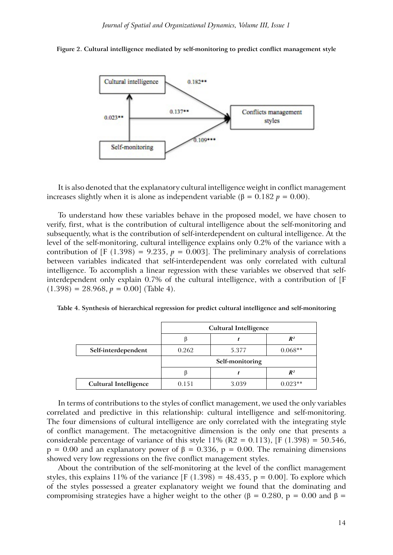



It is also denoted that the explanatory cultural intelligence weight in conflict management increases slightly when it is alone as independent variable (β = 0.182 *p* = 0.00).

To understand how these variables behave in the proposed model, we have chosen to verify, first, what is the contribution of cultural intelligence about the self-monitoring and subsequently, what is the contribution of self-interdependent on cultural intelligence. At the level of the self-monitoring, cultural intelligence explains only 0.2% of the variance with a contribution of [F (1.398) = 9.235,  $p = 0.003$ ]. The preliminary analysis of correlations between variables indicated that self-interdependent was only correlated with cultural intelligence. To accomplish a linear regression with these variables we observed that selfinterdependent only explain 0.7% of the cultural intelligence, with a contribution of [F  $(1.398) = 28.968, p = 0.00$  (Table 4).

|  |  |  | Table 4. Synthesis of hierarchical regression for predict cultural intelligence and self-monitoring |
|--|--|--|-----------------------------------------------------------------------------------------------------|
|  |  |  |                                                                                                     |

|                              | <b>Cultural Intelligence</b> |  |  |  |  |
|------------------------------|------------------------------|--|--|--|--|
|                              | $R^2$                        |  |  |  |  |
| Self-interdependent          | 0.262<br>5.377<br>$0.068**$  |  |  |  |  |
|                              | Self-monitoring              |  |  |  |  |
|                              | $R^2$                        |  |  |  |  |
| <b>Cultural Intelligence</b> | 0.151<br>3.039<br>$0.023**$  |  |  |  |  |

In terms of contributions to the styles of conflict management, we used the only variables correlated and predictive in this relationship: cultural intelligence and self-monitoring. The four dimensions of cultural intelligence are only correlated with the integrating style of conflict management. The metacognitive dimension is the only one that presents a considerable percentage of variance of this style  $11\%$  (R2 = 0.113), [F (1.398) = 50.546,  $p = 0.00$  and an explanatory power of  $\beta = 0.336$ ,  $p = 0.00$ . The remaining dimensions showed very low regressions on the five conflict management styles.

About the contribution of the self-monitoring at the level of the conflict management styles, this explains 11% of the variance  $[F (1.398) = 48.435, p = 0.00]$ . To explore which of the styles possessed a greater explanatory weight we found that the dominating and compromising strategies have a higher weight to the other (β = 0.280, p = 0.00 and β =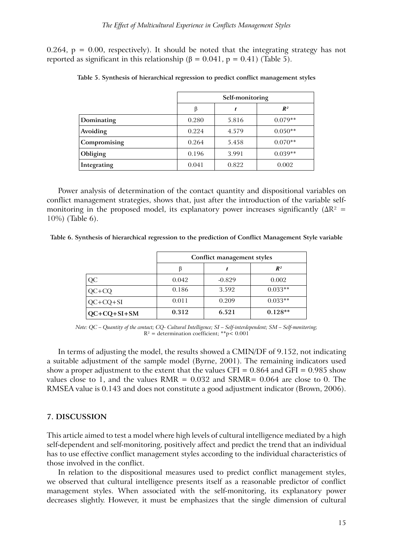0.264,  $p = 0.00$ , respectively). It should be noted that the integrating strategy has not reported as significant in this relationship (β = 0.041, p = 0.41) (Table 5).

|              | Self-monitoring |       |           |  |
|--------------|-----------------|-------|-----------|--|
|              | $R^2$<br>ß      |       |           |  |
| Dominating   | 0.280           | 5.816 | $0.079**$ |  |
| Avoiding     | 0.224           | 4.579 | $0.050**$ |  |
| Compromising | 0.264           | 5.458 | $0.070**$ |  |
| Obliging     | 0.196           | 3.991 | $0.039**$ |  |
| Integrating  | 0.041           | 0.822 | 0.002     |  |

|  | Table 5. Synthesis of hierarchical regression to predict conflict management styles |  |  |  |
|--|-------------------------------------------------------------------------------------|--|--|--|
|  |                                                                                     |  |  |  |

Power analysis of determination of the contact quantity and dispositional variables on conflict management strategies, shows that, just after the introduction of the variable selfmonitoring in the proposed model, its explanatory power increases significantly ( $\Delta R^2$  = 10%) (Table 6).

**Table 6. Synthesis of hierarchical regression to the prediction of Conflict Management Style variable**

|               | Conflict management styles |          |                |  |
|---------------|----------------------------|----------|----------------|--|
|               |                            |          | $\mathbb{R}^2$ |  |
| QC            | 0.042                      | $-0.829$ | 0.002          |  |
| $QC+CO$       | 0.186                      | 3.592    | $0.033**$      |  |
| $QC+CQ+SI$    | 0.011                      | 0.209    | $0.033**$      |  |
| $QC+CQ+SI+SM$ | 0.312                      | 6.521    | $0.128**$      |  |

*Note: QC – Quantity of the contact; CQ- Cultural Intelligence; SI – Self-interdependent; SM – Self-monitoring;*   $R^2$  = determination coefficient; \*\*p< 0.001

In terms of adjusting the model, the results showed a CMIN/DF of 9.152, not indicating a suitable adjustment of the sample model (Byrne, 2001). The remaining indicators used show a proper adjustment to the extent that the values CFI =  $0.864$  and GFI =  $0.985$  show values close to 1, and the values  $RMR = 0.032$  and  $SRMR = 0.064$  are close to 0. The RMSEA value is 0.143 and does not constitute a good adjustment indicator (Brown, 2006).

## **7. DISCUSSION**

This article aimed to test a model where high levels of cultural intelligence mediated by a high self-dependent and self-monitoring, positively affect and predict the trend that an individual has to use effective conflict management styles according to the individual characteristics of those involved in the conflict.

In relation to the dispositional measures used to predict conflict management styles, we observed that cultural intelligence presents itself as a reasonable predictor of conflict management styles. When associated with the self-monitoring, its explanatory power decreases slightly. However, it must be emphasizes that the single dimension of cultural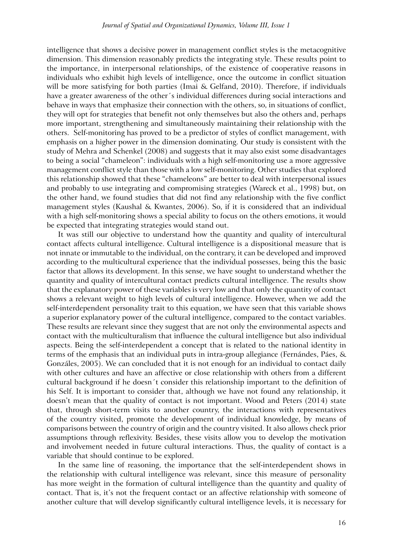intelligence that shows a decisive power in management conflict styles is the metacognitive dimension. This dimension reasonably predicts the integrating style. These results point to the importance, in interpersonal relationships, of the existence of cooperative reasons in individuals who exhibit high levels of intelligence, once the outcome in conflict situation will be more satisfying for both parties (Imai & Gelfand, 2010). Therefore, if individuals have a greater awareness of the other´s individual differences during social interactions and behave in ways that emphasize their connection with the others, so, in situations of conflict, they will opt for strategies that benefit not only themselves but also the others and, perhaps more important, strengthening and simultaneously maintaining their relationship with the others. Self-monitoring has proved to be a predictor of styles of conflict management, with emphasis on a higher power in the dimension dominating. Our study is consistent with the study of Mehra and Schenkel (2008) and suggests that it may also exist some disadvantages to being a social "chameleon": individuals with a high self-monitoring use a more aggressive management conflict style than those with a low self-monitoring. Other studies that explored this relationship showed that these "chameleons" are better to deal with interpersonal issues and probably to use integrating and compromising strategies (Wareck et al., 1998) but, on the other hand, we found studies that did not find any relationship with the five conflict management styles (Kaushal & Kwantes, 2006). So, if it is considered that an individual with a high self-monitoring shows a special ability to focus on the others emotions, it would be expected that integrating strategies would stand out.

It was still our objective to understand how the quantity and quality of intercultural contact affects cultural intelligence. Cultural intelligence is a dispositional measure that is not innate or immutable to the individual, on the contrary, it can be developed and improved according to the multicultural experience that the individual possesses, being this the basic factor that allows its development. In this sense, we have sought to understand whether the quantity and quality of intercultural contact predicts cultural intelligence. The results show that the explanatory power of these variables is very low and that only the quantity of contact shows a relevant weight to high levels of cultural intelligence. However, when we add the self-interdependent personality trait to this equation, we have seen that this variable shows a superior explanatory power of the cultural intelligence, compared to the contact variables. These results are relevant since they suggest that are not only the environmental aspects and contact with the multiculturalism that influence the cultural intelligence but also individual aspects. Being the self-interdependent a concept that is related to the national identity in terms of the emphasis that an individual puts in intra-group allegiance (Fernándes, Páes, & Gonzáles, 2005). We can concluded that it is not enough for an individual to contact daily with other cultures and have an affective or close relationship with others from a different cultural background if he doesn´t consider this relationship important to the definition of his Self. It is important to consider that, although we have not found any relationship, it doesn't mean that the quality of contact is not important. Wood and Peters (2014) state that, through short-term visits to another country, the interactions with representatives of the country visited, promote the development of individual knowledge, by means of comparisons between the country of origin and the country visited. It also allows check prior assumptions through reflexivity. Besides, these visits allow you to develop the motivation and involvement needed in future cultural interactions. Thus, the quality of contact is a variable that should continue to be explored.

In the same line of reasoning, the importance that the self-interdependent shows in the relationship with cultural intelligence was relevant, since this measure of personality has more weight in the formation of cultural intelligence than the quantity and quality of contact. That is, it's not the frequent contact or an affective relationship with someone of another culture that will develop significantly cultural intelligence levels, it is necessary for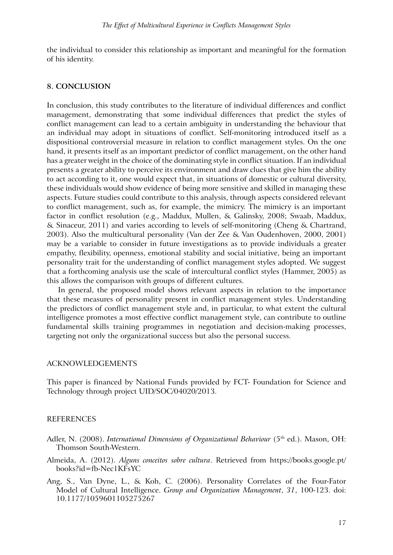the individual to consider this relationship as important and meaningful for the formation of his identity.

### **8. CONCLUSION**

In conclusion, this study contributes to the literature of individual differences and conflict management, demonstrating that some individual differences that predict the styles of conflict management can lead to a certain ambiguity in understanding the behaviour that an individual may adopt in situations of conflict. Self-monitoring introduced itself as a dispositional controversial measure in relation to conflict management styles. On the one hand, it presents itself as an important predictor of conflict management, on the other hand has a greater weight in the choice of the dominating style in conflict situation. If an individual presents a greater ability to perceive its environment and draw clues that give him the ability to act according to it, one would expect that, in situations of domestic or cultural diversity, these individuals would show evidence of being more sensitive and skilled in managing these aspects. Future studies could contribute to this analysis, through aspects considered relevant to conflict management, such as, for example, the mimicry. The mimicry is an important factor in conflict resolution (e.g., Maddux, Mullen, & Galinsky, 2008; Swaab, Maddux, & Sinaceur, 2011) and varies according to levels of self-monitoring (Cheng & Chartrand, 2003). Also the multicultural personality (Van der Zee & Van Oudenhoven, 2000, 2001) may be a variable to consider in future investigations as to provide individuals a greater empathy, flexibility, openness, emotional stability and social initiative, being an important personality trait for the understanding of conflict management styles adopted. We suggest that a forthcoming analysis use the scale of intercultural conflict styles (Hammer, 2005) as this allows the comparison with groups of different cultures.

In general, the proposed model shows relevant aspects in relation to the importance that these measures of personality present in conflict management styles. Understanding the predictors of conflict management style and, in particular, to what extent the cultural intelligence promotes a most effective conflict management style, can contribute to outline fundamental skills training programmes in negotiation and decision-making processes, targeting not only the organizational success but also the personal success.

### ACKNOWLEDGEMENTS

This paper is financed by National Funds provided by FCT- Foundation for Science and Technology through project UID/SOC/04020/2013.

## REFERENCES

- Adler, N. (2008). *International Dimensions of Organizational Behaviour* (5<sup>th</sup> ed.). Mason, OH: Thomson South-Western.
- Almeida, A. (2012). *Alguns conceitos sobre cultura*. Retrieved from https://books.google.pt/ books?id=fb-Nec1KFsYC
- Ang, S., Van Dyne, L., & Koh, C. (2006). Personality Correlates of the Four-Fator Model of Cultural Intelligence. *Group and Organization Management*, *31*, 100-123. doi: 10.1177/1059601105275267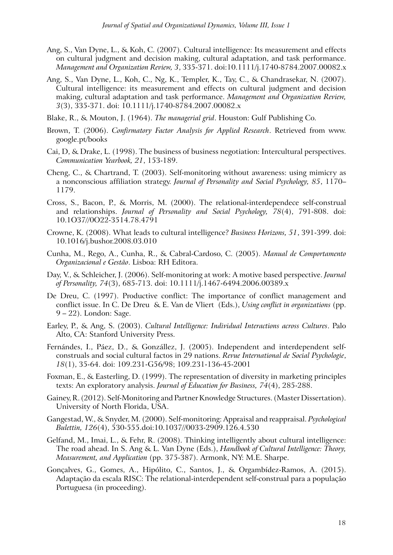- Ang, S., Van Dyne, L., & Koh, C. (2007). Cultural intelligence: Its measurement and effects on cultural judgment and decision making, cultural adaptation, and task performance. *Management and Organization Review, 3*, 335-371. doi:10.1111/j.1740-8784.2007.00082.x
- Ang, S., Van Dyne, L., Koh, C., Ng, K., Templer, K., Tay, C., & Chandrasekar, N. (2007). Cultural intelligence: its measurement and effects on cultural judgment and decision making, cultural adaptation and task performance. *Management and Organization Review, 3*(3), 335-371. doi: 10.1111/j.1740-8784.2007.00082.x
- Blake, R., & Mouton, J. (1964). *The managerial grid*. Houston: Gulf Publishing Co.
- Brown, T. (2006). *Confirmatory Factor Analysis for Applied Research*. Retrieved from www. google.pt/books
- Cai, D, & Drake, L. (1998). The business of business negotiation: Intercultural perspectives. *Communication Yearbook, 21*, 153-189.
- Cheng, C., & Chartrand, T. (2003). Self-monitoring without awareness: using mimicry as a nonconscious affiliation strategy. *Journal of Personality and Social Psychology, 85*, 1170– 1179.
- Cross, S., Bacon, P., & Morris, M. (2000). The relational-interdependece self-construal and relationships. *Journal of Personality and Social Psychology, 78*(4), 791-808. doi: 10.1O37//0O22-3514.78.4791
- Crowne, K. (2008). What leads to cultural intelligence? *Business Horizons, 51*, 391-399. doi: 10.1016/j.bushor.2008.03.010
- Cunha, M., Rego, A., Cunha, R., & Cabral-Cardoso, C. (2005). *Manual de Comportamento Organizacional e Gestão*. Lisboa: RH Editora.
- Day, V., & Schleicher, J. (2006). Self-monitoring at work: A motive based perspective. *Journal of Personality, 74*(3), 685-713. doi: 10.1111/j.1467-6494.2006.00389.x
- De Dreu, C. (1997). Productive conflict: The importance of conflict management and conflict issue. In C. De Dreu & E. Van de Vliert (Eds.), *Using conflict in organizations* (pp. 9 – 22). London: Sage.
- Earley, P., & Ang, S. (2003). *Cultural Intelligence: Individual Interactions across Cultures*. Palo Alto, CA: Stanford University Press.
- Fernándes, I., Páez, D., & Gonzállez, J. (2005). Independent and interdependent selfconstruals and social cultural factos in 29 nations. *Revue International de Social Psychologie*, *18*(1), 35-64. doi: 109.231-G56/98; 109.231-136-45-2001
- Foxman, E., & Easterling, D. (1999). The representation of diversity in marketing principles texts: An exploratory analysis. *Journal of Education for Business, 74*(4), 285-288.
- Gainey, R. (2012). Self-Monitoring and Partner Knowledge Structures. (Master Dissertation). University of North Florida, USA.
- Gangestad, W., & Snyder, M. (2000). Self-monitoring: Appraisal and reappraisal. *Psychological Bulettin, 126*(4), 530-555.doi:10.1037//0033-2909.126.4.530
- Gelfand, M., Imai, L., & Fehr, R. (2008). Thinking intelligently about cultural intelligence: The road ahead. In S. Ang & L. Van Dyne (Eds.), *Handbook of Cultural Intelligence: Theory, Measurement, and Application* (pp. 375-387). Armonk, NY: M.E. Sharpe.
- Gonçalves, G., Gomes, A., Hipólito, C., Santos, J., & Orgambídez-Ramos, A. (2015). Adaptação da escala RISC: The relational-interdependent self-construal para a população Portuguesa (in proceeding).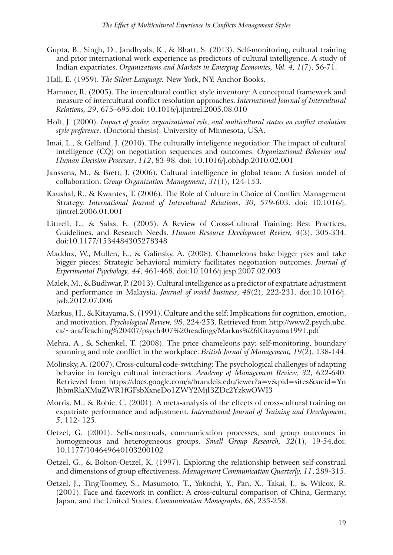- Gupta, B., Singh, D., Jandhyala, K., & Bhatt, S. (2013). Self-monitoring, cultural training and prior international work experience as predictors of cultural intelligence. A study of Indian expatriates. *Organizations and Markets in Emerging Economies, Vol. 4, 1*(7), 56-71.
- Hall, E. (1959). *The Silent Language.* New York, NY: Anchor Books.
- Hammer, R. (2005). The intercultural conflict style inventory: A conceptual framework and measure of intercultural conflict resolution approaches. *International Journal of Intercultural Relations, 29*, 675–695.doi: 10.1016/j.ijintrel.2005.08.010
- Holt, J. (2000). *Impact of gender, organizational role, and multicultural status on conflict resolution style preference*. (Doctoral thesis). University of Minnesota, USA.
- Imai, L., & Gelfand, J. (2010). The culturally inteligente negotiatior: The impact of cultural intelligence (CQ) on negotiation sequences and outcomes. *Organizational Behavior and Human Decision Processes*, *112*, 83-98. doi: 10.1016/j.obhdp.2010.02.001
- Janssens, M., & Brett, J. (2006). Cultural intelligence in global team: A fusion model of collaboration. *Group Organization Management*, *31*(1), 124-153.
- Kaushal, R., & Kwantes, T. (2006). The Role of Culture in Choice of Conflict Management Strategy. *International Journal of Intercultural Relations*, *30*, 579-603. doi: 10.1016/j. ijintrel.2006.01.001
- Littrell, L., & Salas, E. (2005). A Review of Cross-Cultural Training: Best Practices, Guidelines, and Research Needs. *Human Resource Development Review, 4*(3), 305-334. doi:10.1177/1534484305278348
- Maddux, W., Mullen, E., & Galinsky, A. (2008). Chameleons bake bigger pies and take bigger pieces: Strategic behavioral mimicry facilitates negotiation outcomes. *Journal of Experimental Psychology, 44*, 461-468. doi:10.1016/j.jesp.2007.02.003
- Malek, M., & Budhwar, P. (2013). Cultural intelligence as a predictor of expatriate adjustment and performance in Malaysia. *Journal of world business*, *48*(2), 222-231. doi:10.1016/j. jwb.2012.07.006
- Markus, H., & Kitayama, S. (1991). Culture and the self: Implications for cognition, emotion, and motivation. *Psychological Review, 98*, 224-253. Retrieved from http://www2.psych.ubc. ca/~ara/Teaching%20407/psych407%20readings/Markus%26Kitayama1991.pdf
- Mehra, A., & Schenkel, T. (2008). The price chameleons pay: self-monitoring, boundary spanning and role conflict in the workplace. *British Jornal of Management, 19*(2), 138-144.
- Molinsky, A. (2007). Cross-cultural code-switching: The psychological challenges of adapting behavior in foreign cultural interactions. *Academy of Management Review, 32*, 622-640. Retrieved from https://docs.google.com/a/brandeis.edu/iewer?a=v&pid=sites&srcid=Yn JhbmRlaXMuZWR1fGFsbXxneDo1ZWY2MjI3ZDc2YzkwOWI3
- Morris, M., & Robie, C. (2001). A meta-analysis of the effects of cross-cultural training on expatriate performance and adjustment. *International Journal of Training and Development*, *5*, 112- 125.
- Oetzel, G. (2001). Self-construals, communication processes, and group outcomes in homogeneous and heterogeneous groups. *Small Group Research, 32*(1), 19-54.doi: 10.1177/104649640103200102
- Oetzel, G., & Bolton-Oetzel, K. (1997). Exploring the relationship between self-construal and dimensions of group effectiveness. *Management Communication Quarterly, 11*, 289-315.
- Oetzel, J., Ting-Toomey, S., Masumoto, T., Yokochi, Y., Pan, X., Takai, J., & Wilcox, R. (2001). Face and facework in conflict: A cross-cultural comparison of China, Germany, Japan, and the United States. *Communication Monographs, 68*, 235-258.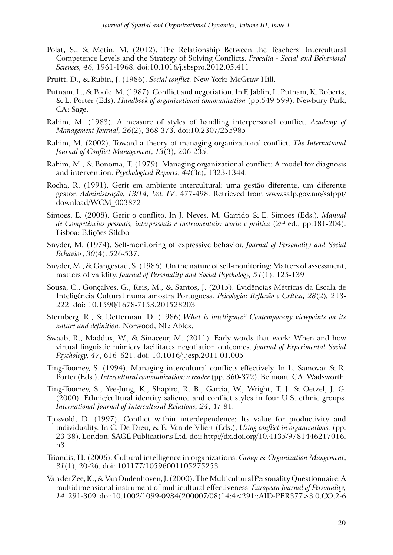- Polat, S., & Metin, M. (2012). The Relationship Between the Teachers' Intercultural Competence Levels and the Strategy of Solving Conflicts. *Procedia - Social and Behavioral Sciences, 46,* 1961-1968. doi:10.1016/j.sbspro.2012.05.411
- Pruitt, D., & Rubin, J. (1986). *Social conflict.* New York: McGraw-Hill.
- Putnam, L., & Poole, M. (1987). Conflict and negotiation. In F. Jablin, L. Putnam, K. Roberts, & L. Porter (Eds). *Handbook of organizational communication* (pp.549-599). Newbury Park, CA: Sage.
- Rahim, M. (1983). A measure of styles of handling interpersonal conflict. *Academy of Management Journal, 26*(2), 368-373. doi:10.2307/255985
- Rahim, M. (2002). Toward a theory of managing organizational conflict. *The International Journal of Conflict Management*, *13*(3), 206-235.
- Rahim, M., & Bonoma, T. (1979). Managing organizational conflict: A model for diagnosis and intervention. *Psychological Reports*, *44*(3c), 1323-1344.
- Rocha, R. (1991). Gerir em ambiente intercultural: uma gestão diferente, um diferente gestor. *Administração, 13/14, Vol. IV*, 477-498. Retrieved from www.safp.gov.mo/safppt/ download/WCM\_003872
- Simões, E. (2008). Gerir o conflito. In J. Neves, M. Garrido & E. Simões (Eds.)*, Manual de Competências pessoais, interpessoais e instrumentais: teoria e prática* (2nd ed., pp.181-204). Lisboa: Edições Sílabo
- Snyder, M. (1974). Self-monitoring of expressive behavior. *Journal of Personality and Social Behavior*, *30*(4), 526-537.
- Snyder, M., & Gangestad, S. (1986). On the nature of self-monitoring: Matters of assessment, matters of validity. *Journal of Personality and Social Psychology, 51*(1), 125-139
- Sousa, C., Gonçalves, G., Reis, M., & Santos, J. (2015). Evidências Métricas da Escala de Inteligência Cultural numa amostra Portuguesa*. Psicologia: Reflexão e Crítica, 28*(2)*,* 213- 222. doi: 10.1590/1678-7153.201528203
- Sternberg, R., & Detterman, D. (1986).*What is intelligence? Contemporany viewpoints on its nature and definition.* Norwood, NL: Ablex.
- Swaab, R., Maddux, W., & Sinaceur, M. (2011). Early words that work: When and how virtual linguistic mimicry facilitates negotiation outcomes. *Journal of Experimental Social Psychology, 47*, 616–621. doi: 10.1016/j.jesp.2011.01.005
- Ting-Toomey, S. (1994). Managing intercultural conflicts effectively. In L. Samovar & R. Porter (Eds.). *Intercultural communication: a reader* (pp. 360-372). Belmont, CA: Wadsworth.
- Ting-Toomey, S., Yee-Jung, K., Shapiro, R. B., Garcia, W., Wright, T. J. & Oetzel, J. G. (2000). Ethnic/cultural identity salience and conflict styles in four U.S. ethnic groups. *International Journal of Intercultural Relations, 24*, 47-81.
- Tjosvold, D. (1997). Conflict within interdependence: Its value for productivity and individuality. In C. De Dreu, & E. Van de Vliert (Eds.), *Using conflict in organizations.* (pp. 23-38). London: SAGE Publications Ltd. doi: http://dx.doi.org/10.4135/9781446217016. n3
- Triandis, H. (2006). Cultural intelligence in organizations. *Group & Organization Mangement*, *31*(1), 20-26. doi: 101177/10596001105275253
- Van der Zee, K., & Van Oudenhoven, J. (2000). The Multicultural Personality Questionnaire: A multidimensional instrument of multicultural effectiveness. *European Journal of Personality, 14*, 291-309. doi:10.1002/1099-0984(200007/08)14:4<291::AID-PER377>3.0.CO;2-6